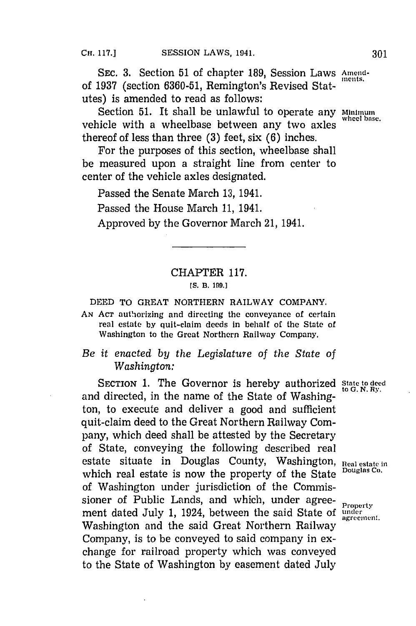**SEC. 3. Section 51 of chapter 189, Session Laws Amend**of 1937 (section 6360-51, Remington's Revised Statutes) is amended to read as follows:

Section 51. It shall be unlawful to operate any  $\frac{\text{Minimum}}{\text{when base}}$ vehicle with a wheelbase between any two axles thereof of less than three **(3)** feet, six **(6)** inches.

For the purposes of this section, wheelbase shall be measured upon a straight line from center to center of the vehicle axles designated.

Passed the Senate March **13,** 1941.

Passed the House March **11,** 1941.

Approved **by** the Governor March 21, 1941.

## CHAPTER **117.**

## **IS. B3. 199.]**

**DEED** TO GREAT NORTHERN RAILWAY COMPANY.

**AN ACT** authorizing and directing the conveyance of certain real estate by quit-claim deeds in behalf of the State of Washington to the Great Northern Railway Company.

## *Be it enacted by tihe Legislature of the State of Washington:*

**SECTION 1. The Governor is hereby authorized State to deed** and directed, in the name of the State of Washington, to execute and deliver a good and sufficient quit-claim deed to the Great Northern Railway Company, which deed shall be attested **by** the Secretary of State, conveying the following described real estate situate in Douglas County, Washington, **Real estate in**<br>exhibit used estate is used the measuring of the State Pouglas Co. which real estate is now the property of the State of Washington under jurisdiction of the Commissioner of Public Lands, and which, under agree- **Property** ment dated July **1,** 1924, between the said State of **under** Washington and the said Great Northern Railway Company, is to be conveyed to said company in exchange for railroad property which was conveyed to the State of Washington **by** easement dated July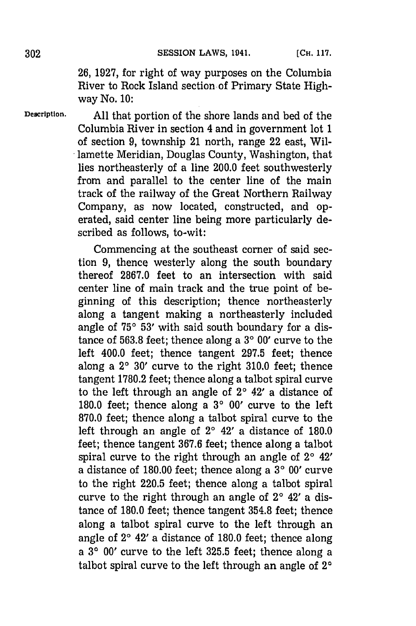**26, 1927,** for right of way purposes on the Columbia River to Rock Island section of Primary State Highway No. **10:**

**Description. All** that portion of the shore lands and bed of the Columbia River in section 4 and in government lot **1** of section **9,** township 21 north, range 22 east, Willamette Meridian, Douglas County, Washington, that lies northeasterly of a line 200.0 feet southwesterly from and parallel to the center line of the main track of the railway of the Great Northern Railway Company, as now located, constructed, and operated, said center line being more particularly described as follows, to-wit:

> Commencing at the southeast corner of said section **9,** thence westerly along the south boundary thereof **2867.0** feet to an intersection with said center line of main track and the true point of beginning of this description; thence northeasterly along a tangent making a northeasterly included angle of 75° 53' with said south boundary for a distance of **563.8** feet; thence along a **30 00'** curve to the left 400.0 feet; thence tangent **297.5** feet; thence along a **20 30'** curve to the right **310.0** feet; thence tangent **1780.2** feet; thence along a talbot spiral curve to the left through an angle of **20** 42' a distance of **180.0** feet; thence along a **30 00'** curve to the left **870.0** feet; thence along a talbot spiral curve to the left through an angle of **20** 42' a distance of **180.0** feet; thence tangent **367.6** feet; thence along a talbot spiral curve to the right through an angle of **20** 42' a distance of **180.00** feet; thence along a **30 00'** curve to the right **220.5** feet; thence along a talbot spiral curve to the right through an angle of **20** 42' a distance of **180.0** feet; thence tangent **354.8** feet; thence along a talbot spiral curve to the left through an angle of **20** 42' a distance of **180.0** feet; thence along a **30 00'** curve to the left **325.5** feet; thence along a talbot spiral curve to the left through an angle of **20**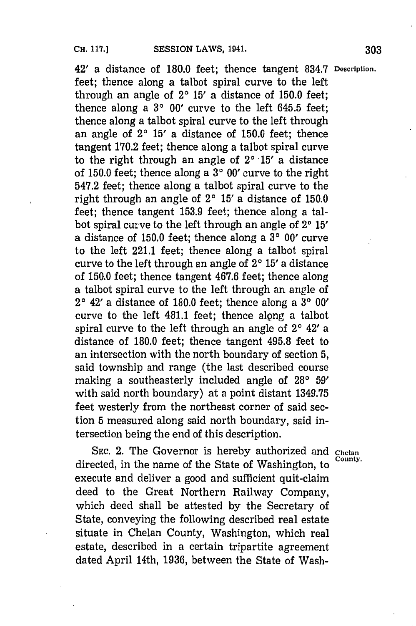42' a distance of **180.0** feet; thence tangent **834.7 Description.** feet; thence along a talbot spiral curve to the left through an angle of **20 15'** a distance of **150.0** feet; thence along a **30 00'** curve to the left **645.5** feet; thence along a talbot spiral curve to the left through an angle of **20 15'** a distance of **150.0** feet; thence tangent **170.2** feet; thence along a talbot spiral curve to the right through an angle of  $2^{\circ}$  15' a distance of **150.0** feet; thence along a **30 00'** curve to the right 547.2 feet; thence along a talbot spiral curve to the right through an angle of  $2^{\circ}$  15' a distance of 150.0 feet; thence tangent **153.9** feet; thence along a talbot spiral curve to the left through an angle of **20 15'** a distance of **150.0** feet; thence along a **30 00'** curve to the left 221.1 feet; thence along a talbot spiral curve to the left through an angle of 2° 15' a distance of **150.0** feet; thence tangent **467.6** feet; thence along a talbot spiral curve to the left through an angle of **20** 42' a distance of **180.0** feet; thence along a **30 00'** curve to the left 481.1 feet; thence along a talbot spiral curve to the left through an angle of **20** 42' a distance of **180.0** feet; thence tangent **495.8** feet to an intersection with the north boundary of section **5,** said township and range (the last described course making a southeasterly included angle of 28° 59' with said north boundary) at a point distant **1349.75** feet westerly from the northeast corner of said section **5** measured along said north boundary, said intersection being the end of this description.

**SEC.** 2. The Governor is hereby authorized and **Chelan** directed, in the name of the State of Washington, to execute and deliver a good and sufficient quit-claim deed to the Great Northern Railway Company, which deed shall be attested **by** the Secretary of State, conveying the following described real estate situate in Chelan County, Washington, which real estate, described in a certain tripartite agreement dated April 14th, **1936,** between the State of Wash-